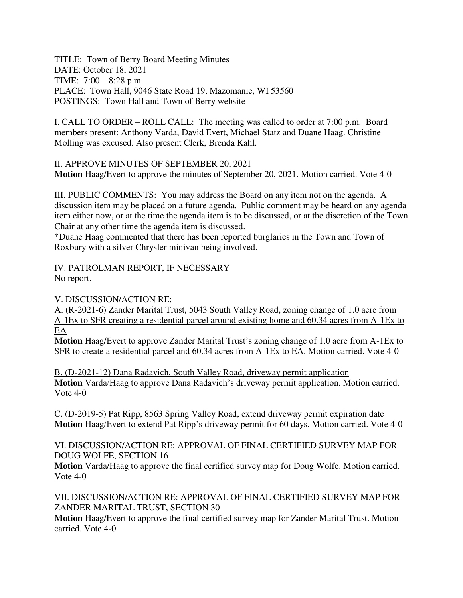TITLE: Town of Berry Board Meeting Minutes DATE: October 18, 2021 TIME: 7:00 – 8:28 p.m. PLACE: Town Hall, 9046 State Road 19, Mazomanie, WI 53560 POSTINGS: Town Hall and Town of Berry website

I. CALL TO ORDER – ROLL CALL: The meeting was called to order at 7:00 p.m. Board members present: Anthony Varda, David Evert, Michael Statz and Duane Haag. Christine Molling was excused. Also present Clerk, Brenda Kahl.

II. APPROVE MINUTES OF SEPTEMBER 20, 2021 **Motion** Haag/Evert to approve the minutes of September 20, 2021. Motion carried. Vote 4-0

III. PUBLIC COMMENTS: You may address the Board on any item not on the agenda. A discussion item may be placed on a future agenda. Public comment may be heard on any agenda item either now, or at the time the agenda item is to be discussed, or at the discretion of the Town Chair at any other time the agenda item is discussed.

\*Duane Haag commented that there has been reported burglaries in the Town and Town of Roxbury with a silver Chrysler minivan being involved.

IV. PATROLMAN REPORT, IF NECESSARY No report.

V. DISCUSSION/ACTION RE:

A. (R-2021-6) Zander Marital Trust, 5043 South Valley Road, zoning change of 1.0 acre from A-1Ex to SFR creating a residential parcel around existing home and 60.34 acres from A-1Ex to EA

**Motion** Haag/Evert to approve Zander Marital Trust's zoning change of 1.0 acre from A-1Ex to SFR to create a residential parcel and 60.34 acres from A-1Ex to EA. Motion carried. Vote 4-0

B. (D-2021-12) Dana Radavich, South Valley Road, driveway permit application **Motion** Varda/Haag to approve Dana Radavich's driveway permit application. Motion carried. Vote 4-0

C. (D-2019-5) Pat Ripp, 8563 Spring Valley Road, extend driveway permit expiration date **Motion** Haag/Evert to extend Pat Ripp's driveway permit for 60 days. Motion carried. Vote 4-0

VI. DISCUSSION/ACTION RE: APPROVAL OF FINAL CERTIFIED SURVEY MAP FOR DOUG WOLFE, SECTION 16

**Motion** Varda/Haag to approve the final certified survey map for Doug Wolfe. Motion carried. Vote 4-0

VII. DISCUSSION/ACTION RE: APPROVAL OF FINAL CERTIFIED SURVEY MAP FOR ZANDER MARITAL TRUST, SECTION 30

**Motion** Haag/Evert to approve the final certified survey map for Zander Marital Trust. Motion carried. Vote 4-0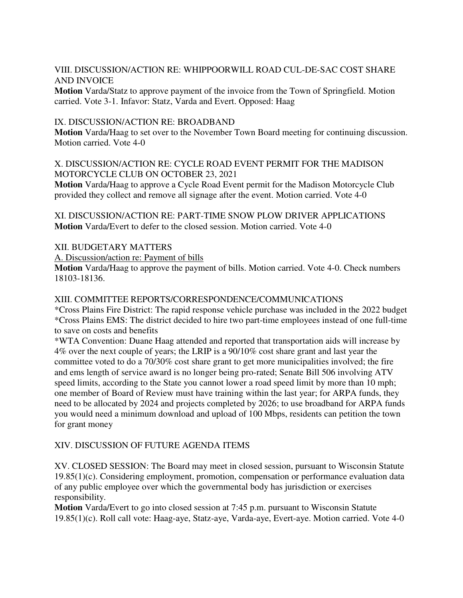VIII. DISCUSSION/ACTION RE: WHIPPOORWILL ROAD CUL-DE-SAC COST SHARE AND INVOICE

**Motion** Varda/Statz to approve payment of the invoice from the Town of Springfield. Motion carried. Vote 3-1. Infavor: Statz, Varda and Evert. Opposed: Haag

## IX. DISCUSSION/ACTION RE: BROADBAND

**Motion** Varda/Haag to set over to the November Town Board meeting for continuing discussion. Motion carried. Vote 4-0

# X. DISCUSSION/ACTION RE: CYCLE ROAD EVENT PERMIT FOR THE MADISON MOTORCYCLE CLUB ON OCTOBER 23, 2021

**Motion** Varda/Haag to approve a Cycle Road Event permit for the Madison Motorcycle Club provided they collect and remove all signage after the event. Motion carried. Vote 4-0

XI. DISCUSSION/ACTION RE: PART-TIME SNOW PLOW DRIVER APPLICATIONS **Motion** Varda/Evert to defer to the closed session. Motion carried. Vote 4-0

## XII. BUDGETARY MATTERS

A. Discussion/action re: Payment of bills

**Motion** Varda/Haag to approve the payment of bills. Motion carried. Vote 4-0. Check numbers 18103-18136.

#### XIII. COMMITTEE REPORTS/CORRESPONDENCE/COMMUNICATIONS

\*Cross Plains Fire District: The rapid response vehicle purchase was included in the 2022 budget \*Cross Plains EMS: The district decided to hire two part-time employees instead of one full-time to save on costs and benefits

\*WTA Convention: Duane Haag attended and reported that transportation aids will increase by 4% over the next couple of years; the LRIP is a 90/10% cost share grant and last year the committee voted to do a 70/30% cost share grant to get more municipalities involved; the fire and ems length of service award is no longer being pro-rated; Senate Bill 506 involving ATV speed limits, according to the State you cannot lower a road speed limit by more than 10 mph; one member of Board of Review must have training within the last year; for ARPA funds, they need to be allocated by 2024 and projects completed by 2026; to use broadband for ARPA funds you would need a minimum download and upload of 100 Mbps, residents can petition the town for grant money

## XIV. DISCUSSION OF FUTURE AGENDA ITEMS

XV. CLOSED SESSION: The Board may meet in closed session, pursuant to Wisconsin Statute 19.85(1)(c). Considering employment, promotion, compensation or performance evaluation data of any public employee over which the governmental body has jurisdiction or exercises responsibility.

**Motion** Varda/Evert to go into closed session at 7:45 p.m. pursuant to Wisconsin Statute 19.85(1)(c). Roll call vote: Haag-aye, Statz-aye, Varda-aye, Evert-aye. Motion carried. Vote 4-0